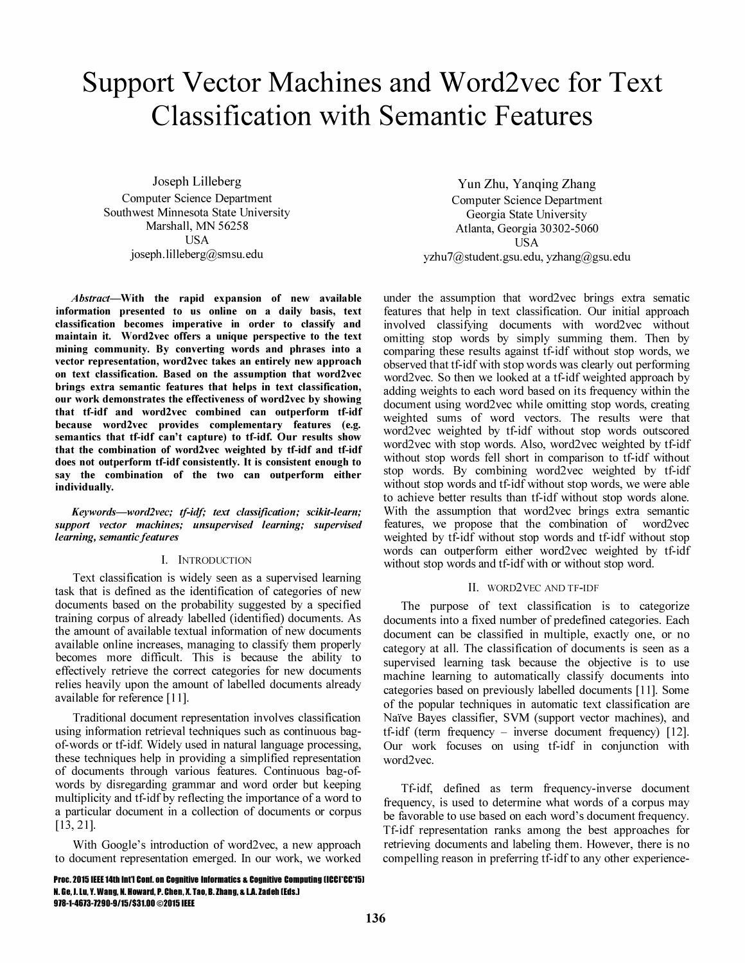# Support Vector Machines and Word2vec for Text Classification with Semantic Features

Joseph Lilleberg Computer Science Department Southwest Minnesota State University Marshall, MN 56258 USA joseph.lilleberg@smsu.edu

Abstract-With the rapid expansion of new available information presented to us online on a daily basis, text classification becomes imperative in order to classify and maintain it. Word2vec offers a unique perspective to the text mining community. By converting words and phrases into a vector representation, word2vec takes an entirely new approach on text classification. Based on the assumption that word2vec brings extra semantic features that helps in text classification, our work demonstrates the effectiveness of word2vec by showing that tf-idf and word2vec combined can outperform tf-idf because word2vec provides complementary features (e.g. semantics that tf-idf can't capture) to tf-idf. Our results show that the combination of word2vec weighted by tf-idf and tf-idf does not outperform tf-idf consistently. It is consistent enough to say the combination of the two can outperform either individually.

Keywords-word2vec; tf-idf; text classification; scikit-learn; support vector machines; unsupervised learning; supervised learning, semantic features

## I. INTRODUCTION

Text classification is widely seen as a supervised learning task that is defined as the identification of categories of new documents based on the probability suggested by a specified training corpus of already labelled (identified) documents. As the amount of available textual information of new documents available online increases, managing to classify them properly becomes more difficult. This is because the ability to effectively retrieve the correct categories for new documents relies heavily upon the amount of labelled documents already available for reference [11].

Traditional document representation involves classification using information retrieval techniques such as continuous bagof-words or tf-idf. Widely used in natural language processing, these techniques help in providing a simplified representation of documents through various features. Continuous bag-ofwords by disregarding grammar and word order but keeping multiplicity and tf-idf by reflecting the importance of a word to a particular document in a collection of documents or corpus [13, 21].

With Google's introduction of word2vec, a new approach to document representation emerged. In our work, we worked

Yun Zhu, Yanqing Zhang Computer Science Department Georgia State University Atlanta, Georgia 30302-5060 USA yzhu7@student.gsu.edu, yzhang@gsu.edu

under the assumption that word2vec brings extra sematic features that help in text classification. Our initial approach involved classifying documents with word2vec without omitting stop words by simply summing them. Then by comparing these results against tf-idf without stop words, we observed that tf-idf with stop words was clearly out performing word2vec. So then we looked at a tf-idf weighted approach by adding weights to each word based on its frequency within the document using word2vec while omitting stop words, creating weighted sums of word vectors. The results were that word2vec weighted by tf-idf without stop words outscored word2vec with stop words. Also, word2vec weighted by tf-idf without stop words fell short in comparison to tf-idf without stop words. By combining word2vec weighted by tf-idf without stop words and tf-idf without stop words, we were able to achieve better results than tf-idf without stop words alone. With the assumption that word2vec brings extra semantic features, we propose that the combination of word2vec weighted by tf-idf without stop words and tf-idf without stop words can outperform either word2vec weighted by tf-idf without stop words and tf-idf with or without stop word.

#### II. WORD2VEC AND TF-IDF

The purpose of text classification is to categorize documents into a fixed number of predefined categories. Each document can be classified in multiple, exactly one, or no category at all. The classification of documents is seen as a supervised learning task because the objective is to use machine learning to automatically classify documents into categories based on previously labelled documents [11]. Some of the popular techniques in automatic text classification are Naïve Bayes classifier, SVM (support vector machines), and tf-idf (term frequency - inverse document frequency) [12]. Our work focuses on using tf-idf in conjunction with word2vec.

Tf-idf, defined as term frequency-inverse document frequency, is used to determine what words of a corpus may be favorable to use based on each word's document frequency. Tf-idf representation ranks among the best approaches for retrieving documents and labeling them. However, there is no compelling reason in preferring tf-idf to any other experience-

Proc. 2015 IEEE 14th Int'l Conf. on Cognitive Informatics & Cognitive Computing (ICCI\*CC\*15) N. Ge. I.lu. Y. Wang. N. Howard. P. Chen. X. Tao. B. Zhang. & LA. Zadeh IEdsJ 978-1-4673-7290-9/15/\$31.00 ©2015 IEEE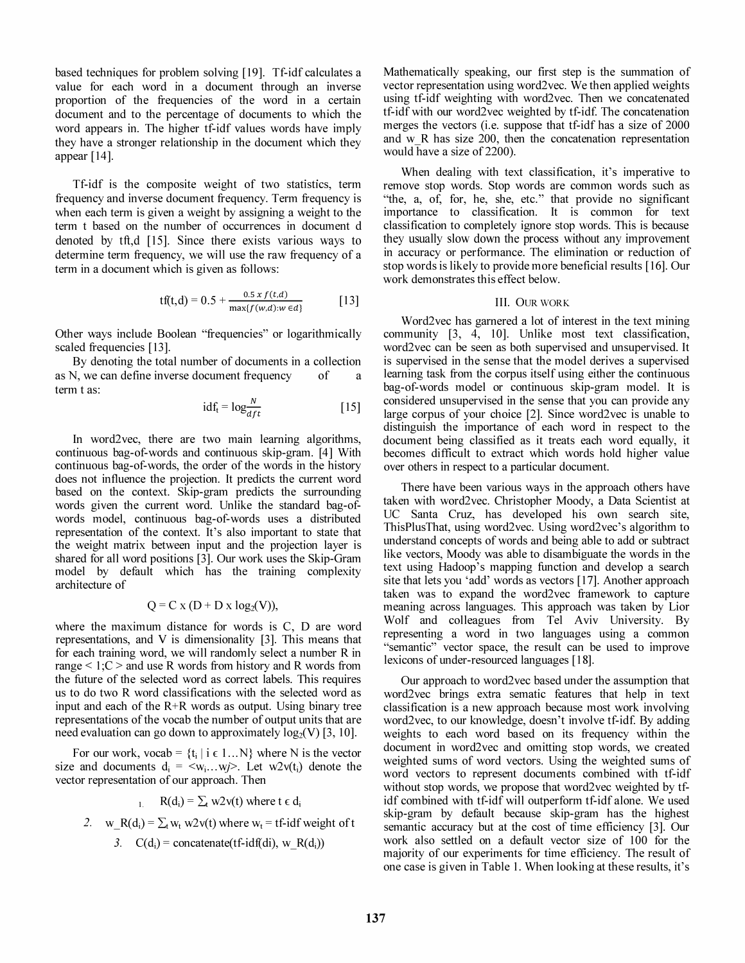based techniques for problem solving [19]. Tf-idf calculates a value for each word in a document through an inverse proportion of the frequencies of the word in a certain document and to the percentage of documents to which the word appears in. The higher tf-idf values words have imply they have a stronger relationship in the document which they appear [14].

Tf-idf is the composite weight of two statistics, term frequency and inverse document frequency. Term frequency is when each term is given a weight by assigning a weight to the term t based on the number of occurrences in document d denoted by tft,d [15]. Since there exists various ways to determine term frequency, we will use the raw frequency of a term in a document which is given as follows:

$$
tf(t,d) = 0.5 + \frac{0.5 \, x \, f(t,d)}{\max\{f(w,d): w \in d\}} \qquad [13]
$$

Other ways include Boolean "frequencies" or logarithmically scaled frequencies [l3].

By denoting the total number of documents in a collection as N, we can define inverse document frequency of term t as:

$$
idf_t = log \frac{N}{dft}
$$
 [15]

In word2vec, there are two main learning algorithms, continuous bag-of-words and continuous skip-gram. [4] With continuous bag-of-words, the order of the words in the history does not influence the projection. It predicts the current word based on the context. Skip-gram predicts the surrounding words given the current word. Unlike the standard bag-ofwords model, continuous bag-of-words uses a distributed representation of the context. It's also important to state that the weight matrix between input and the projection layer is shared for all word positions [3]. Our work uses the Skip-Gram model by default which has the training complexity architecture of

$$
Q = C x (D + D x \log_2(V)),
$$

where the maximum distance for words is C, D are word representations, and V is dimensionality [3]. This means that for each training word, we will randomly select a number R in range  $\leq 1$ ; C  $\geq$  and use R words from history and R words from the future of the selected word as correct labels. This requires us to do two R word classifications with the selected word as input and each of the R+R words as output. Using binary tree representations of the vocab the number of output units that are need evaluation can go down to approximately  $log_2(V)$  [3, 10].

For our work, vocab =  $\{t_i | i \in 1...N\}$  where N is the vector size and documents  $d_i = \langle w_i ... w_j \rangle$ . Let  $w2v(t_i)$  denote the vector representation of our approach. Then

1. R(d<sub>i</sub>) =  $\sum_{t}$  w2v(t) where t  $\epsilon$  d<sub>i</sub>

2. w R(d<sub>i</sub>) = 
$$
\sum_t w_t w2v(t)
$$
 where  $w_t$  = tf-idf weight of t

3. 
$$
C(d_i) = \text{concatenate}(\text{tf-idf}(\text{di}), \text{w}_R(d_i))
$$

Mathematically speaking, our first step is the summation of vector representation using word2vec. We then applied weights using tf-idf weighting with word2vec. Then we concatenated tf-idf with our word2vec weighted by tf-idf. The concatenation merges the vectors (i.e. suppose that tf-idf has a size of 2000 and  $w$  R has size 200, then the concatenation representation would have a size of 2200).

When dealing with text classification, it's imperative to remove stop words. Stop words are common words such as "the, a, of, for, he, she, etc." that provide no significant importance to classification. It is common for text classification to completely ignore stop words. This is because they usually slow down the process without any improvement in accuracy or performance. The elimination or reduction of stop words is likely to provide more beneficial results [16]. Our work demonstrates this effect below.

#### III. OUR WORK

Word2vec has garnered a lot of interest in the text mining community [3, 4, 10]. Unlike most text classification, word2vec can be seen as both supervised and unsupervised. It is supervised in the sense that the model derives a supervised learning task from the corpus itself using either the continuous bag-of-words model or continuous skip-gram model. It is considered unsupervised in the sense that you can provide any large corpus of your choice [2]. Since word2vec is unable to distinguish the importance of each word in respect to the document being classified as it treats each word equally, it becomes difficult to extract which words hold higher value over others in respect to a particular document.

There have been various ways in the approach others have taken with word2vec. Christopher Moody, a Data Scientist at UC Santa Cruz, has developed his own search site, ThisPlusThat, using word2vec. Using word2vec's algorithm to understand concepts of words and being able to add or subtract like vectors, Moody was able to disambiguate the words in the text using Hadoop's mapping function and develop a search site that lets you 'add' words as vectors [17]. Another approach taken was to expand the word2vec framework to capture meaning across languages. This approach was taken by Lior Wolf and colleagues from Tel Aviv University. By representing a word in two languages using a common "semantic" vector space, the result can be used to improve lexicons of under-resourced languages [18].

Our approach to word2vec based under the assumption that word2vec brings extra sematic features that help in text classification is a new approach because most work involving word2vec, to our knowledge, doesn't involve tf-idf. By adding weights to each word based on its frequency within the document in word2vec and omitting stop words, we created weighted sums of word vectors. Using the weighted sums of word vectors to represent documents combined with tf-idf without stop words, we propose that word2vec weighted by tfidf combined with tf-idf will outperform tf-idf alone. We used skip-gram by default because skip-gram has the highest semantic accuracy but at the cost of time efficiency [3]. Our work also settled on a default vector size of 100 for the majority of our experiments for time efficiency. The result of one case is given in Table 1. When looking at these results, it's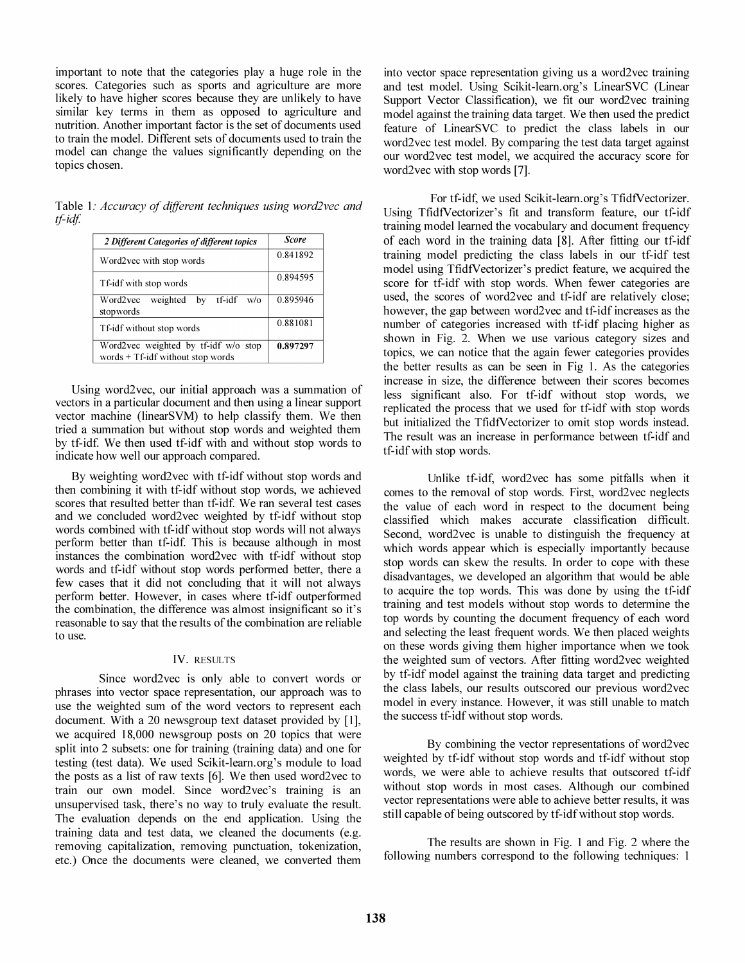important to note that the categories play a huge role in the scores. Categories such as sports and agriculture are more likely to have higher scores because they are unlikely to have similar key terms in them as opposed to agriculture and nutrition. Another important factor is the set of documents used to train the model. Different sets of documents used to train the model can change the values significantly depending on the topics chosen.

Table 1: Accuracy of different techniques using word2vec and tf-idf.

| 2 Different Categories of different topics                                  | Score    |
|-----------------------------------------------------------------------------|----------|
| Word2vec with stop words                                                    | 0.841892 |
| Tf-idf with stop words                                                      | 0.894595 |
| by tf-idf<br>Word2vec<br>weighted<br>$w$ /0<br>stopwords                    | 0.895946 |
| Tf-idf without stop words                                                   | 0.881081 |
| Word2vec weighted by tf-idf w/o stop<br>words $+Tf$ -idf without stop words | 0.897297 |

Using word2vec, our initial approach was a summation of vectors in a particular document and then using a linear support vector machine (linearSVM) to help classify them. We then tried a summation but without stop words and weighted them by tf-id£ We then used tf-idf with and without stop words to indicate how well our approach compared.

By weighting word2vec with tf-idf without stop words and then combining it with tf-idf without stop words, we achieved scores that resulted better than tf-idf. We ran several test cases and we concluded word2vec weighted by tf-idf without stop words combined with tf-idf without stop words will not always perform better than tf-idf. This is because although in most instances the combination word2vec with tf-idf without stop words and tf-idf without stop words performed better, there a few cases that it did not concluding that it will not always perform better. However, in cases where tf-idf outperformed the combination, the difference was almost insignificant so it's reasonable to say that the results of the combination are reliable to use.

# IV. RESULTS

Since word2vec is only able to convert words or phrases into vector space representation, our approach was to use the weighted sum of the word vectors to represent each document. With a 20 newsgroup text dataset provided by [1], we acquired 18,000 newsgroup posts on 20 topics that were split into 2 subsets: one for training (training data) and one for testing (test data). We used Scikit-Iearn.org's module to load the posts as a list of raw texts [6]. We then used word2vec to train our own model. Since word2vec's training is an unsupervised task, there's no way to truly evaluate the result. The evaluation depends on the end application. Using the training data and test data, we cleaned the documents (e.g. removing capitalization, removing punctuation, tokenization, etc.) Once the documents were cleaned, we converted them

into vector space representation giving us a word2vec training and test model. Using Scikit-Iearn.org's LinearSVC (Linear Support Vector Classification), we fit our word2vec training model against the training data target. We then used the predict feature of LinearSVC to predict the class labels in our word2vec test model. By comparing the test data target against our word2vec test model, we acquired the accuracy score for word2vec with stop words [7].

For tf-idf, we used Scikit-learn.org's TfidfVectorizer. Using TfidfVectorizer's fit and transform feature, our tf-idf training model learned the vocabulary and document frequency of each word in the training data [8]. After fitting our tf-idf training model predicting the class labels in our tf-idf test model using TfidfVectorizer's predict feature, we acquired the score for tf-idf with stop words. When fewer categories are used, the scores of word2vec and tf-idf are relatively close; however, the gap between word2vec and tf-idf increases as the number of categories increased with tf-idf placing higher as shown in Fig. 2. When we use various category sizes and topics, we can notice that the again fewer categories provides the better results as can be seen in Fig 1. As the categories increase in size, the difference between their scores becomes less significant also. For tf-idf without stop words, we replicated the process that we used for tf-idf with stop words but initialized the TfidfVectorizer to omit stop words instead. The result was an increase in performance between tf-idf and tf-idf with stop words.

Unlike tf-idf, word2vec has some pitfalls when it comes to the removal of stop words. First, word2vec neglects the value of each word in respect to the document being classified which makes accurate classification difficult. Second, word2vec is unable to distinguish the frequency at which words appear which is especially importantly because stop words can skew the results. In order to cope with these disadvantages, we developed an algorithm that would be able to acquire the top words. This was done by using the tf-idf training and test models without stop words to determine the top words by counting the document frequency of each word and selecting the least frequent words. We then placed weights on these words giving them higher importance when we took the weighted sum of vectors. After fitting word2vec weighted by tf-idf model against the training data target and predicting the class labels, our results outscored our previous word2vec model in every instance. However, it was still unable to match the success tf-idf without stop words.

By combining the vector representations of word2vec weighted by tf-idf without stop words and tf-idf without stop words, we were able to achieve results that outscored tf-idf without stop words in most cases. Although our combined vector representations were able to achieve better results, it was still capable of being outscored by tf-idf without stop words.

The results are shown in Fig. 1 and Fig. 2 where the following numbers correspond to the following techniques: 1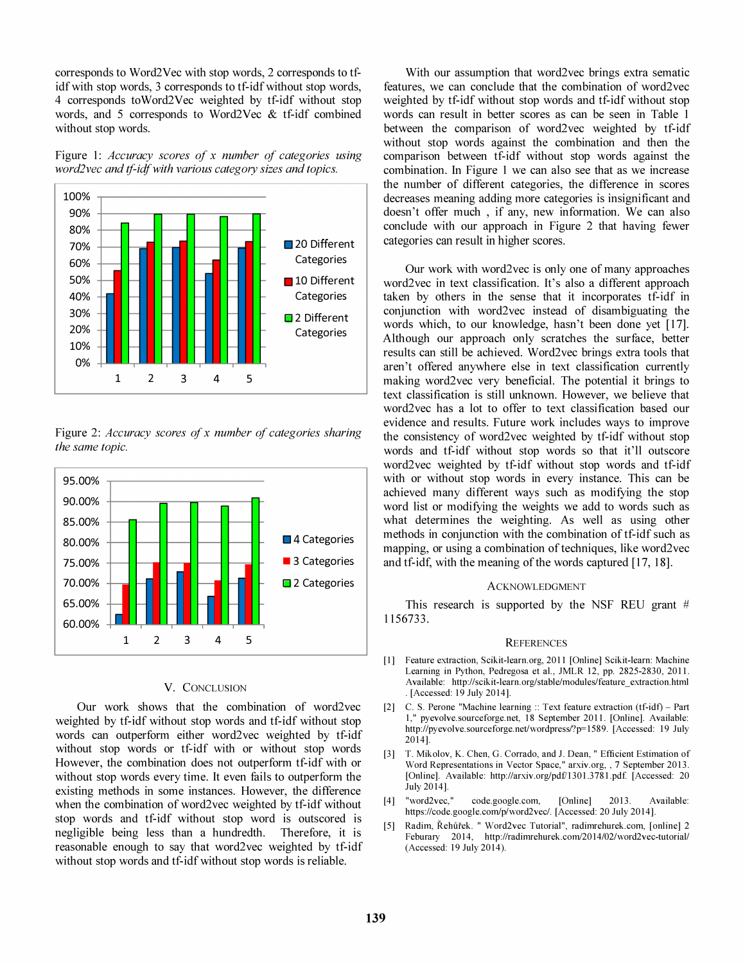corresponds to Word2Vec with stop words, 2 corresponds to tfidf with stop words, 3 corresponds to tf-idf without stop words, 4 corresponds toWord2Vec weighted by tf-idf without stop words, and 5 corresponds to Word2Vec & tf-idf combined without stop words.

Figure 1: Accuracy scores of x number of categories using word2vec and tf-idf with various category sizes and topics.



Figure 2: Accuracy scores of x number of categories sharing the same topic.



# V. CONCLUSION

Our work shows that the combination of word2vec weighted by tf-idf without stop words and tf-idf without stop words can outperform either word2vec weighted by tf-idf without stop words or tf-idf with or without stop words However, the combination does not outperform tf-idf with or without stop words every time. It even fails to outperform the existing methods in some instances. However, the difference when the combination of word2vec weighted by tf-idf without stop words and tf-idf without stop word is outscored is negligible being less than a hundredth. Therefore, it is reasonable enough to say that word2vec weighted by tf-idf without stop words and tf-idf without stop words is reliable.

With our assumption that word2vec brings extra sematic features, we can conclude that the combination of word2vec weighted by tf-idf without stop words and tf-idf without stop words can result in better scores as can be seen in Table 1 between the comparison of word2vec weighted by tf-idf without stop words against the combination and then the comparison between tf-idf without stop words against the combination. In Figure 1 we can also see that as we increase the number of different categories, the difference in scores decreases meaning adding more categories is insignificant and doesn't offer much , if any, new information. We can also conclude with our approach in Figure 2 that having fewer categories can result in higher scores.

Our work with word2vec is only one of many approaches word2vec in text classification. It's also a different approach taken by others in the sense that it incorporates tf-idf in conjunction with word2vec instead of disambiguating the words which, to our knowledge, hasn't been done yet [17]. Although our approach only scratches the surface, better results can still be achieved. Word2vec brings extra tools that aren't offered anywhere else in text classification currently making word2vec very beneficial. The potential it brings to text classification is still unknown. However, we believe that word2vec has a lot to offer to text classification based our evidence and results. Future work includes ways to improve the consistency of word2vec weighted by tf-idf without stop words and tf-idf without stop words so that it'll outscore word2vec weighted by tf-idf without stop words and tf-idf with or without stop words in every instance. This can be achieved many different ways such as modifying the stop word list or modifying the weights we add to words such as what determines the weighting. As well as using other methods in conjunction with the combination of tf-idf such as mapping, or using a combination of techniques, like word2vec and tf-idf, with the meaning of the words captured [17, 18].

#### ACKNOWLEDGMENT

This research is supported by the NSF REU grant  $#$ 1156733.

### **REFERENCES**

- [1] Feature extraction, Scikit-learn.org, 2011 [Online] Scikit-learn: Machine Learning in Python, Pedregosa et al., JMLR 12, pp. 2825-2830, 2011. Available: http://scikit-Iearn.org/stable/modules/feature\_extraction.html . [Accessed: 19 July 2014].
- [2] C. S. Perone "Machine learning :: Text feature extraction (tf-idt) Part 1," pyevolve.sourceforge.net, 18 September 2011. [Online]. Available: http://pyevolve.sourceforge.net/wordpress/?p=1589. [Accessed: 19 July 2014].
- [3] T. Mikolov, K. Chen, G. Corrado, and J. Dean, " Efficient Estimation of Word Representations in Vector Space," arxiv.org, , 7 September 2013. [Online]. Available: http://arxiv.org/pdf/1301.3781.pdf. [Accessed: 20 July 2014].
- [4] "word2vec," code.google.com, [Online] 2013. Available: https://code.google.com/p/word2vec/. [Accessed: 20 July 2014].
- [5] Radim, Řehůřek. " Word2vec Tutorial", radimrehurek.com, [online] 2 Feburary 2014, http://radimrehurek.com/2014/02/word2vec-tutorial/ (Accessed: 19 July 2014).